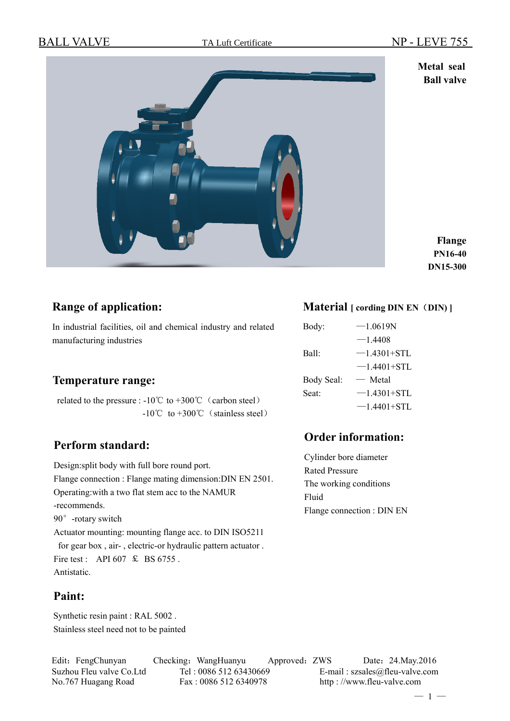**Metal seal Ball valve**



**Flange PN16-40 DN15-300**

# **Range of application:**

In industrial facilities, oil and chemical industry and related manufacturing industries

## **Temperature range:**

related to the pressure :  $-10^{\circ}$ C to  $+300^{\circ}$ C (carbon steel)  $-10^{\circ}$ C to  $+300^{\circ}$ C (stainless steel)

# **Perform standard:**

Design:split body with full bore round port. Flange connection : Flange mating dimension:DIN EN 2501. Operating:with a two flat stem acc to the NAMUR -recommends. 90°-rotary switch Actuator mounting: mounting flange acc. to DIN ISO5211 for gear box , air- , electric-or hydraulic pattern actuator . Fire test : API 607  $\text{\&}$  BS 6755. Antistatic.

# **Paint:**

Synthetic resin paint : RAL 5002 . Stainless steel need not to be painted

# **Material [ cording DIN EN**(**DIN) ]**

| Body:             | $-1.0619N$      |
|-------------------|-----------------|
|                   | $-1.4408$       |
| Ball              | $-1.4301 + STL$ |
|                   | $-1.4401 + STL$ |
| Body Seal:        | $-$ Metal       |
| Seat <sup>-</sup> | $-1.4301 + STL$ |
|                   | $-1.4401 + STL$ |

# **Order information:**

Cylinder bore diameter Rated Pressure The working conditions Fluid Flange connection : DIN EN

Edit: FengChunyan Checking: WangHuanyu Approved: ZWS Date: 24.May.2016 Suzhou Fleu valve Co.Ltd Tel : 0086 512 63430669 E-mail : szsales@fleu-valve.com No.767 Huagang Road Fax : 0086 512 6340978 http : //www.fleu-valve.com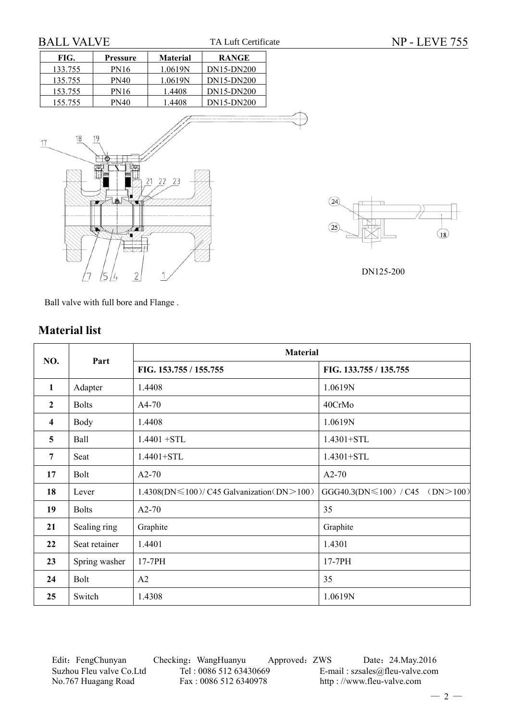$\sqrt{18}$ 

# FIG. Pressure Material RANGE 133.755 | PN16 | 1.0619N | DN15-DN200 135.755 PN40 1.0619N DN15-DN200 153.755 PN16 1.4408 DN15-DN200 155.755 | PN40 | 1.4408 | DN15-DN200 18 17 22  $2<sup>7</sup>$  $(24)$  $\sqrt{25}$ DN125-200

TA Luft Certificate

Ball valve with full bore and Flange .

# **Material list**

|                         |               | <b>Material</b>                                  |                                    |  |  |  |  |
|-------------------------|---------------|--------------------------------------------------|------------------------------------|--|--|--|--|
| NO.                     | Part          | FIG. 153.755 / 155.755                           | FIG. 133.755 / 135.755             |  |  |  |  |
| 1                       | Adapter       | 1.4408                                           | 1.0619N                            |  |  |  |  |
| $\overline{2}$          | <b>Bolts</b>  | $A4-70$                                          | 40CrMo                             |  |  |  |  |
| $\overline{\mathbf{4}}$ | Body          | 1.4408                                           | 1.0619N                            |  |  |  |  |
| 5                       | Ball          | $1.4401 + STL$                                   | 1.4301+STL                         |  |  |  |  |
| $7\phantom{.0}$         | Seat          | $1.4401 + STL$                                   | 1.4301+STL                         |  |  |  |  |
| 17                      | Bolt          | $A2-70$                                          | $A2-70$                            |  |  |  |  |
| 18                      | Lever         | $1.4308(DN \le 100) / C45$ Galvanization(DN>100) | GGG40.3(DN \ 100) / C45 (DN > 100) |  |  |  |  |
| 19                      | <b>Bolts</b>  | $A2-70$                                          | 35                                 |  |  |  |  |
| 21                      | Sealing ring  | Graphite                                         | Graphite                           |  |  |  |  |
| 22                      | Seat retainer | 1.4401                                           | 1.4301                             |  |  |  |  |
| 23                      | Spring washer | 17-7PH                                           | 17-7PH                             |  |  |  |  |
| 24                      | Bolt          | A2                                               | 35                                 |  |  |  |  |
| 25                      | Switch        | 1.4308                                           | 1.0619N                            |  |  |  |  |

Edit: FengChunyan Checking: WangHuanyu Approved: ZWS Date: 24.May.2016<br>Suzhou Fleu valve Co.Ltd Tel: 0086 512 63430669 E-mail: szsales@fleu-valve.com Suzhou Fleu valve Co.Ltd Tel : 0086 512 63430669 E-mail : szsales@fleu-valve.com<br>No.767 Huagang Road Fax : 0086 512 6340978 http : //www.fleu-valve.com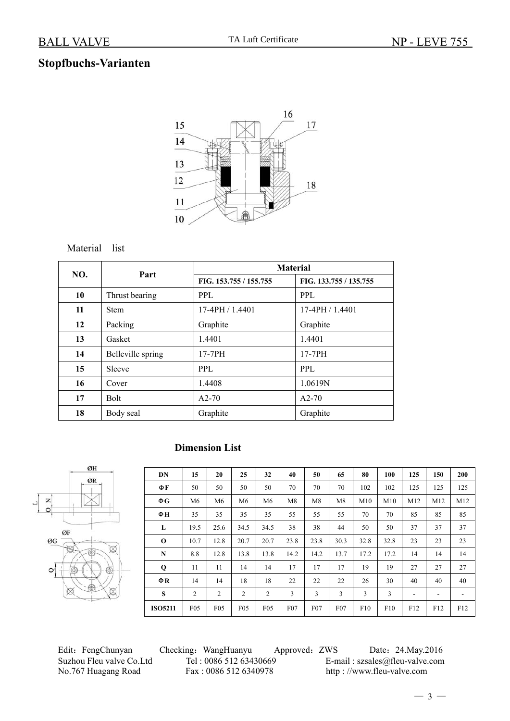# **Stopfbuchs-Varianten**



### Material list

| NO. | Part              | <b>Material</b>        |                        |  |  |
|-----|-------------------|------------------------|------------------------|--|--|
|     |                   | FIG. 153.755 / 155.755 | FIG. 133.755 / 135.755 |  |  |
| 10  | Thrust bearing    | PPL.                   | PPL                    |  |  |
| 11  | <b>Stem</b>       | $17-4$ PH $/ 1.4401$   | $17-4$ PH $/1.4401$    |  |  |
| 12  | Packing           | Graphite               | Graphite               |  |  |
| 13  | Gasket            | 1.4401                 | 1.4401                 |  |  |
| 14  | Belleville spring | 17-7PH                 | 17-7PH                 |  |  |
| 15  | Sleeve            | PPL.                   | PPL                    |  |  |
| 16  | Cover             | 1.4408                 | 1.0619N                |  |  |
| 17  | <b>Bolt</b>       | $A2-70$                | $A2-70$                |  |  |
| 18  | Body seal         | Graphite               | Graphite               |  |  |

# ØH ØR  $\overline{O}$  N  $\frac{1}{\sqrt{2}}$ ØF ØG  $\rm \sim$

### **Dimension List**

| DN             | 15             | 20              | 25   | 32              | 40              | 50               | 65       | 80   | 100  | 125                      | 150                      | 200                      |
|----------------|----------------|-----------------|------|-----------------|-----------------|------------------|----------|------|------|--------------------------|--------------------------|--------------------------|
| ΦF             | 50             | 50              | 50   | 50              | 70              | 70               | 70       | 102  | 102  | 125                      | 125                      | 125                      |
| ΦG             | M <sub>6</sub> | M <sub>6</sub>  | M6   | M6              | M8              | M8               | M8       | M10  | M10  | M12                      | M12                      | M12                      |
| ФН             | 35             | 35              | 35   | 35              | 55              | 55               | 55       | 70   | 70   | 85                       | 85                       | 85                       |
| L              | 19.5           | 25.6            | 34.5 | 34.5            | 38              | 38               | 44       | 50   | 50   | 37                       | 37                       | 37                       |
| $\bf{0}$       | 10.7           | 12.8            | 20.7 | 20.7            | 23.8            | 23.8             | 30.3     | 32.8 | 32.8 | 23                       | 23                       | 23                       |
| N              | 8.8            | 12.8            | 13.8 | 13.8            | 14.2            | 14.2             | 13.7     | 17.2 | 17.2 | 14                       | 14                       | 14                       |
| $\mathbf 0$    | 11             | 11              | 14   | 14              | 17              | 17               | 17       | 19   | 19   | 27                       | 27                       | 27                       |
| $\Phi$ R       | 14             | 14              | 18   | 18              | 22              | 22               | 22       | 26   | 30   | 40                       | 40                       | 40                       |
| S              | 2              | 2               | 2    | $\overline{c}$  | 3               | 3                | 3        | 3    | 3    | $\overline{\phantom{a}}$ | $\overline{\phantom{a}}$ | $\overline{\phantom{a}}$ |
| <b>ISO5211</b> | F05            | F <sub>05</sub> | F05  | F <sub>05</sub> | F <sub>07</sub> | F <sub>0</sub> 7 | $F_{07}$ | F10  | F10  | F12                      | F12                      | F12                      |

No.767 Huagang Road Fax : 0086 512 6340978 http : //www.fleu-valve.com

Edit: FengChunyan Checking: WangHuanyu Approved: ZWS Date: 24.May.2016 Suzhou Fleu valve Co.Ltd Tel : 0086 512 63430669 E-mail : szsales@fleu-valve.com<br>No.767 Huagang Road Fax : 0086 512 6340978 http : //www.fleu-valve.com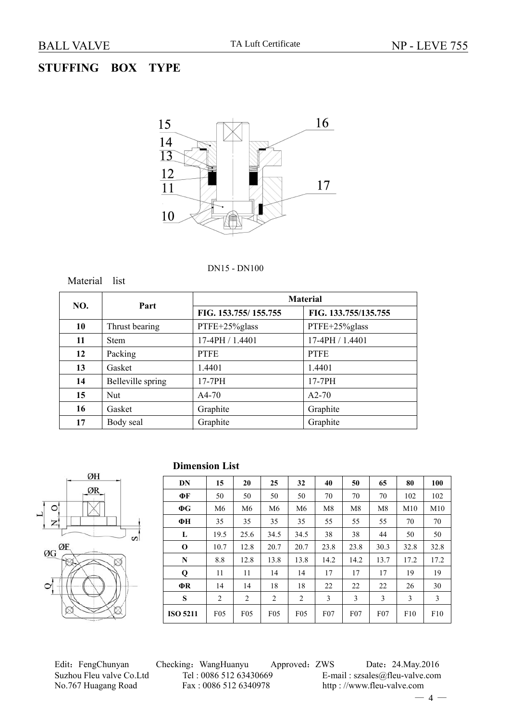# **STUFFING BOX TYPE**



#### DN15 - DN100



|     |                   |                      | <b>Material</b>      |  |
|-----|-------------------|----------------------|----------------------|--|
| NO. | Part              | FIG. 153.755/155.755 | FIG. 133.755/135.755 |  |
| 10  | Thrust bearing    | PTFE+25%glass        | PTFE+25%glass        |  |
| 11  | <b>Stem</b>       | 17-4PH / 1.4401      | 17-4PH / 1.4401      |  |
| 12  | Packing           | <b>PTFE</b>          | <b>PTFE</b>          |  |
| 13  | Gasket            | 1.4401               | 1.4401               |  |
| 14  | Belleville spring | $17-7PH$             | $17-7PH$             |  |
| 15  | <b>Nut</b>        | $A4-70$              | $A2-70$              |  |
| 16  | Gasket            | Graphite             | Graphite             |  |
| 17  | Body seal         | Graphite             | Graphite             |  |



#### **Dimension List**

| DN              | 15              | 20              | 25              | 32              | 40       | 50       | 65       | 80   | 100  |
|-----------------|-----------------|-----------------|-----------------|-----------------|----------|----------|----------|------|------|
| ФF              | 50              | 50              | 50              | 50              | 70       | 70       | 70       | 102  | 102  |
| $\Phi G$        | M <sub>6</sub>  | M6              | M <sub>6</sub>  | M6              | M8       | M8       | M8       | M10  | M10  |
| ФН              | 35              | 35              | 35              | 35              | 55       | 55       | 55       | 70   | 70   |
| L               | 19.5            | 25.6            | 34.5            | 34.5            | 38       | 38       | 44       | 50   | 50   |
| $\mathbf 0$     | 10.7            | 12.8            | 20.7            | 20.7            | 23.8     | 23.8     | 30.3     | 32.8 | 32.8 |
| N               | 8.8             | 12.8            | 13.8            | 13.8            | 14.2     | 14.2     | 13.7     | 17.2 | 17.2 |
| Q               | 11              | 11              | 14              | 14              | 17       | 17       | 17       | 19   | 19   |
| ФR              | 14              | 14              | 18              | 18              | 22       | 22       | 22       | 26   | 30   |
| S               | 2               | 2               | 2               | 2               | 3        | 3        | 3        | 3    | 3    |
| <b>ISO 5211</b> | F <sub>05</sub> | F <sub>05</sub> | F <sub>05</sub> | F <sub>05</sub> | $F_{07}$ | $F_{07}$ | $F_{07}$ | F10  | F10  |

Edit: FengChunyan Checking: WangHuanyu Approved: ZWS Date: 24.May.2016<br>Suzhou Fleu valve Co.Ltd Tel: 0086 512 63430669 E-mail: szsales@fleu-valve.com No.767 Huagang Road Fax : 0086 512 6340978 http : //www.fleu-valve.com

E-mail : szsales@fleu-valve.com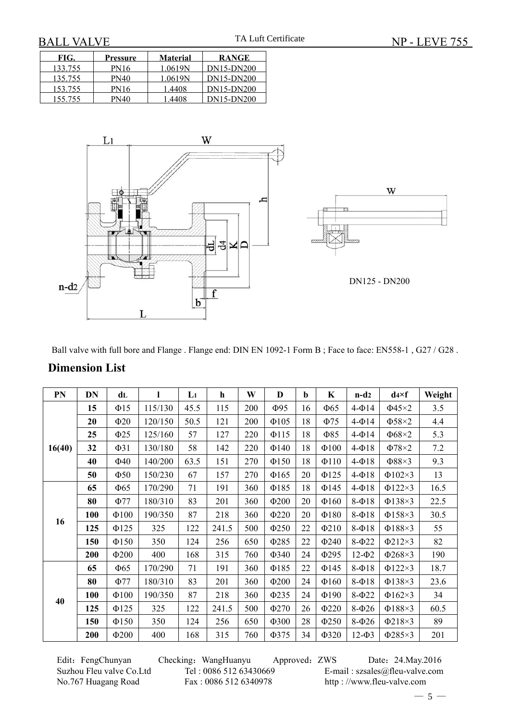| FIG.    | Pressure    | <b>Material</b> | <b>RANGE</b> |
|---------|-------------|-----------------|--------------|
| 133.755 | <b>PN16</b> | 1 0619N         | DN15-DN200   |
| 135.755 | <b>PN40</b> | 1.0619N         | DN15-DN200   |
| 153 755 | <b>PN16</b> | 1 4408          | DN15-DN200   |
| 155.755 | PN40        | 1 4408          | DN15-DN200   |



Ball valve with full bore and Flange . Flange end: DIN EN 1092-1 Form B ; Face to face: EN558-1 , G27 / G28 .

| PN     | DN  | dL         | 1       | Li   | $\mathbf h$ | W   | D          | b  | $\mathbf K$ | $n-d2$        | $d4\times f$ | Weight |
|--------|-----|------------|---------|------|-------------|-----|------------|----|-------------|---------------|--------------|--------|
|        | 15  | $\Phi$ 15  | 115/130 | 45.5 | 115         | 200 | $\Phi$ 95  | 16 | $\Phi$ 65   | $4-014$       | $\Phi$ 45×2  | 3.5    |
|        | 20  | $\Phi$ 20  | 120/150 | 50.5 | 121         | 200 | $\Phi$ 105 | 18 | $\Phi$ 75   | $4-014$       | $\Phi$ 58×2  | 4.4    |
|        | 25  | $\Phi$ 25  | 125/160 | 57   | 127         | 220 | $\Phi$ 115 | 18 | $\Phi$ 85   | $4-014$       | $\Phi$ 68×2  | 5.3    |
| 16(40) | 32  | $\Phi$ 31  | 130/180 | 58   | 142         | 220 | $\Phi$ 140 | 18 | $\Phi$ 100  | $4-\Phi$ 18   | $\Phi$ 78×2  | 7.2    |
|        | 40  | $\Phi$ 40  | 140/200 | 63.5 | 151         | 270 | $\Phi$ 150 | 18 | $\Phi$ 110  | $4-\Phi$ 18   | $\Phi$ 88×3  | 9.3    |
|        | 50  | $\Phi$ 50  | 150/230 | 67   | 157         | 270 | $\Phi$ 165 | 20 | $\Phi$ 125  | $4-\Phi$ 18   | $\Phi$ 102×3 | 13     |
|        | 65  | $\Phi$ 65  | 170/290 | 71   | 191         | 360 | $\Phi$ 185 | 18 | $\Phi$ 145  | $4-\Phi$ 18   | $\Phi$ 122×3 | 16.5   |
|        | 80  | $\Phi$ 77  | 180/310 | 83   | 201         | 360 | $\Phi$ 200 | 20 | $\Phi$ 160  | $8-018$       | $\Phi$ 138×3 | 22.5   |
| 16     | 100 | $\Phi$ 100 | 190/350 | 87   | 218         | 360 | $\Phi$ 220 | 20 | $\Phi$ 180  | $8-018$       | $\Phi$ 158×3 | 30.5   |
|        | 125 | $\Phi$ 125 | 325     | 122  | 241.5       | 500 | $\Phi$ 250 | 22 | $\Phi$ 210  | $8-018$       | $\Phi$ 188×3 | 55     |
|        | 150 | $\Phi$ 150 | 350     | 124  | 256         | 650 | $\Phi$ 285 | 22 | $\Phi$ 240  | $8-022$       | $\Phi$ 212×3 | 82     |
|        | 200 | $\Phi$ 200 | 400     | 168  | 315         | 760 | Ф340       | 24 | Φ295        | $12 - \Phi2$  | $\Phi$ 268×3 | 190    |
|        | 65  | $\Phi$ 65  | 170/290 | 71   | 191         | 360 | $\Phi$ 185 | 22 | $\Phi$ 145  | $8-018$       | $\Phi$ 122×3 | 18.7   |
|        | 80  | $\Phi$ 77  | 180/310 | 83   | 201         | 360 | $\Phi$ 200 | 24 | $\Phi$ 160  | $8-018$       | $\Phi$ 138×3 | 23.6   |
|        | 100 | $\Phi$ 100 | 190/350 | 87   | 218         | 360 | $\Phi$ 235 | 24 | $\Phi$ 190  | $8-\Phi22$    | $\Phi$ 162×3 | 34     |
| 40     | 125 | $\Phi$ 125 | 325     | 122  | 241.5       | 500 | Φ270       | 26 | $\Phi$ 220  | $8-026$       | $\Phi$ 188×3 | 60.5   |
|        | 150 | $\Phi$ 150 | 350     | 124  | 256         | 650 | Ф300       | 28 | $\Phi$ 250  | $8-026$       | $\Phi$ 218×3 | 89     |
|        | 200 | $\Phi$ 200 | 400     | 168  | 315         | 760 | Ф375       | 34 | $\Phi$ 320  | $12 - \Phi$ 3 | $\Phi$ 285×3 | 201    |

### **Dimension List**

Edit: FengChunyan Checking: WangHuanyu Approved: ZWS Date: 24.May.2016 Suzhou Fleu valve Co.Ltd Tel : 0086 512 63430669 E-mail : szsales@fleu-valve.com<br>No.767 Huagang Road Fax : 0086 512 6340978 http : //www.fleu-valve.com http : //www.fleu-valve.com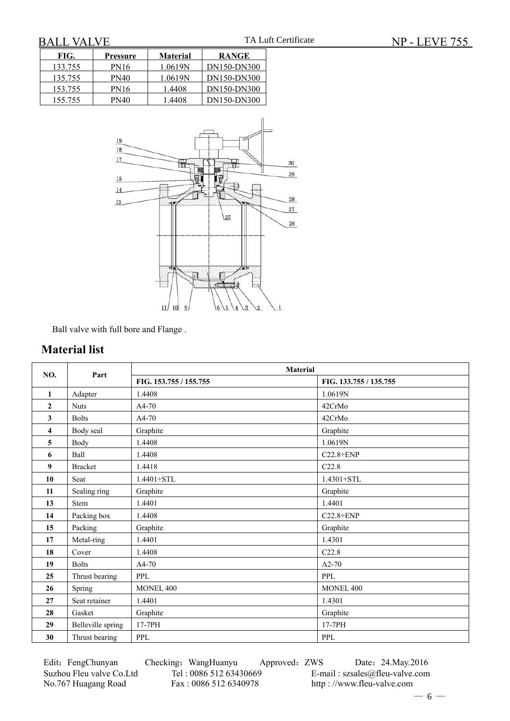| FIG.    | Pressure    | <b>Material</b> | <b>RANGE</b> |
|---------|-------------|-----------------|--------------|
| 133.755 | <b>PN16</b> | 1.0619N         | DN150-DN300  |
| 135.755 | PN40        | 1.0619N         | DN150-DN300  |
| 153.755 | <b>PN16</b> | 1.4408          | DN150-DN300  |
| 155.755 | PN40        | 1.4408          | DN150-DN300  |



Ball valve with full bore and Flange .

## **Material list**

| NO.                     | Part              | <b>Material</b>        |                        |
|-------------------------|-------------------|------------------------|------------------------|
|                         |                   | FIG. 153.755 / 155.755 | FIG. 133.755 / 135.755 |
| $\mathbf{1}$            | Adapter           | 1.4408                 | 1.0619N                |
| $\mathbf{2}$            | <b>Nuts</b>       | A4-70                  | 42CrMo                 |
| $\overline{\mathbf{3}}$ | <b>Bolts</b>      | A4-70                  | 42CrMo                 |
| $\overline{\mathbf{4}}$ | Body seal         | Graphite               | Graphite               |
| 5                       | Body              | 1.4408                 | 1.0619N                |
| 6                       | <b>Ball</b>       | 1.4408                 | $C22.8 + ENP$          |
| $\boldsymbol{9}$        | <b>Bracket</b>    | 1.4418                 | C22.8                  |
| 10                      | Seat              | 1.4401+STL             | 1.4301+STL             |
| 11                      | Sealing ring      | Graphite               | Graphite               |
| 13                      | <b>Stem</b>       | 1.4401                 | 1.4401                 |
| 14                      | Packing box       | 1.4408                 | $C22.8 + ENP$          |
| 15                      | Packing           | Graphite               | Graphite               |
| 17                      | Metal-ring        | 1.4401                 | 1.4301                 |
| 18                      | Cover             | 1.4408                 | C22.8                  |
| 19                      | <b>Bolts</b>      | $A4-70$                | $A2-70$                |
| 25                      | Thrust bearing    | <b>PPL</b>             | <b>PPL</b>             |
| 26                      | Spring            | MONEL 400              | MONEL 400              |
| 27                      | Seat retainer     | 1.4401                 | 1.4301                 |
| 28                      | Gasket            | Graphite               | Graphite               |
| 29                      | Belleville spring | 17-7PH                 | 17-7PH                 |
| 30                      | Thrust bearing    | <b>PPL</b>             | <b>PPL</b>             |

Edit: FengChunyan Checking: WangHuanyu Approved: ZWS Date: 24.May.2016

Suzhou Fleu valve Co.Ltd Tel : 0086 512 63430669 E-mail : szsales@fleu-valve.com<br>No.767 Huagang Road Fax : 0086 512 6340978 http : //www.fleu-valve.com http : //www.fleu-valve.com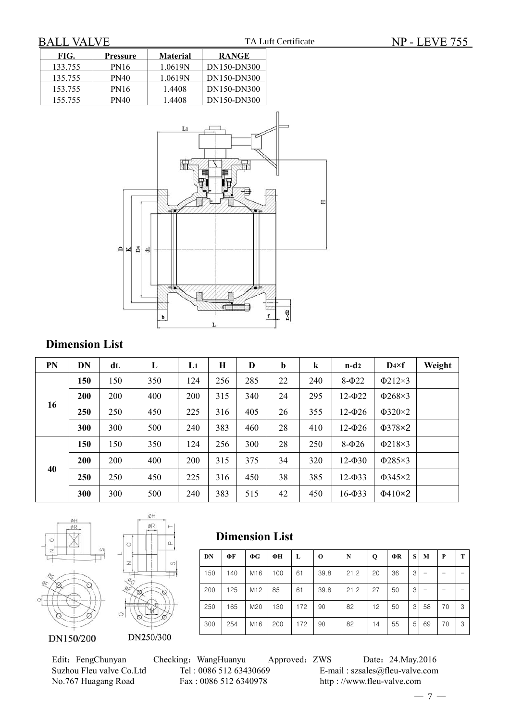| FIG.    | <b>Pressure</b> | <b>Material</b> | <b>RANGE</b> |
|---------|-----------------|-----------------|--------------|
| 133.755 | <b>PN16</b>     | 1.0619N         | DN150-DN300  |
| 135.755 | PN40            | 1.0619N         | DN150-DN300  |
| 153.755 | <b>PN16</b>     | 1.4408          | DN150-DN300  |
| 155.755 | PN40            | 1.4408          | DN150-DN300  |



# **Dimension List**

| <b>PN</b> | DN  | dL  | L   | $\mathbf{L}$ | H   | D   | $\mathbf b$ | $\bf k$ | $n-d2$         | $D4\times f$ | Weight |
|-----------|-----|-----|-----|--------------|-----|-----|-------------|---------|----------------|--------------|--------|
|           | 150 | 150 | 350 | 124          | 256 | 285 | 22          | 240     | $8-022$        | $\Phi$ 212×3 |        |
|           | 200 | 200 | 400 | 200          | 315 | 340 | 24          | 295     | $12 - 022$     | $\Phi$ 268×3 |        |
| 16        | 250 | 250 | 450 | 225          | 316 | 405 | 26          | 355     | $12 - 026$     | $\Phi$ 320×2 |        |
|           | 300 | 300 | 500 | 240          | 383 | 460 | 28          | 410     | $12 - 026$     | $\Phi$ 378×2 |        |
|           | 150 | 150 | 350 | 124          | 256 | 300 | 28          | 250     | $8-026$        | $\Phi$ 218×3 |        |
|           | 200 | 200 | 400 | 200          | 315 | 375 | 34          | 320     | $12 - \Phi 30$ | $\Phi$ 285×3 |        |
| 40        | 250 | 250 | 450 | 225          | 316 | 450 | 38          | 385     | $12 - 033$     | $\Phi$ 345×2 |        |
|           | 300 | 300 | 500 | 240          | 383 | 515 | 42          | 450     | $16 - 033$     | $\Phi$ 410×2 |        |

**Dimension List**





Edit: FengChunyan Checking: WangHuanyu Approved: ZWS Date: 24.May.2016<br>Suzhou Fleu valve Co.Ltd Tel: 0086 512 63430669 E-mail: szsales@fleu-valve.com Suzhou Fleu valve Co.Ltd Tel : 0086 512 63430669 E-mail : szsales@fleu-valve.com<br>No.767 Huagang Road Fax : 0086 512 6340978 http : //www.fleu-valve.com

http : //www.fleu-valve.com

**DN ΦF ΦG ΦHL O N Q ΦR SM P T** 150 | 140 | M16 | 100 | 61 | 39.8 | 21.2 | 20 | 36 | 3| - | - | -200 | 125 | M12 | 85 | 61 | 39.8 | 21.2 | 27 | 50 | 3| - | - | -250 | 165 | M20 | 130 | 172 | 90 | 82 | 12 | 50 | 3 | 58 | 70 | 3 300 254 M16 200 172 90 82 14 55 5 69 70 3

 $-7-$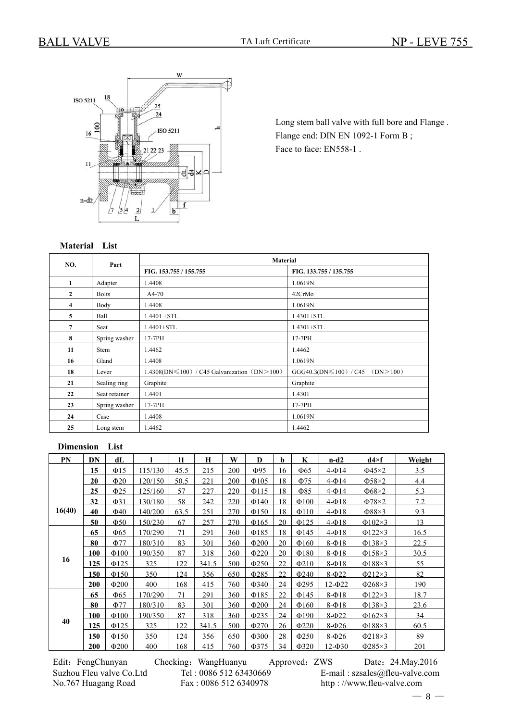

Long stem ball valve with full bore and Flange . Flange end: DIN EN 1092-1 Form B ; Face to face: EN558-1 .

#### **Material List**

| NO.                     | Part          | Material                                          |                                        |
|-------------------------|---------------|---------------------------------------------------|----------------------------------------|
|                         |               | FIG. 153.755 / 155.755                            | FIG. 133.755 / 135.755                 |
| $\mathbf{1}$            | Adapter       | 1.4408                                            | 1.0619N                                |
| $\mathbf{2}$            | <b>Bolts</b>  | $A4-70$                                           | 42CrMo                                 |
| $\overline{\mathbf{4}}$ | Body          | 1.4408                                            | 1.0619N                                |
| 5                       | Ball          | $1.4401 + STL$                                    | $1.4301 + STL$                         |
| 7                       | Seat          | $1.4401 + STL$                                    | $1.4301 + STL$                         |
| 8                       | Spring washer | $17-7PH$                                          | 17-7PH                                 |
| 11                      | Stem          | 1.4462                                            | 1.4462                                 |
| 16                      | Gland         | 1.4408                                            | 1.0619N                                |
| 18                      | Lever         | $1.4308(DN \le 100)$ / C45 Galvanization (DN>100) | $GGG40.3(DN \le 100) / C45$ (DN > 100) |
| 21                      | Sealing ring  | Graphite                                          | Graphite                               |
| 22                      | Seat retainer | 1.4401                                            | 1.4301                                 |
| 23                      | Spring washer | 17-7PH                                            | 17-7PH                                 |
| 24                      | Case          | 1.4408                                            | 1.0619N                                |
| 25                      | Long stem     | 1.4462                                            | 1.4462                                 |

#### **Dimension List**

| PN     | DN         | dL         |         | $\mathbf{I}$ | H     | W   | D          | b  | K          | $n-d2$         | $d4\times f$ | Weight |
|--------|------------|------------|---------|--------------|-------|-----|------------|----|------------|----------------|--------------|--------|
|        | 15         | $\Phi$ 15  | 115/130 | 45.5         | 215   | 200 | Ф95        | 16 | $\Phi$ 65  | $4-014$        | $\Phi$ 45×2  | 3.5    |
|        | 20         | $\Phi$ 20  | 120/150 | 50.5         | 221   | 200 | $\Phi$ 105 | 18 | $\Phi$ 75  | $4-014$        | $\Phi$ 58×2  | 4.4    |
|        | 25         | $\Phi$ 25  | 125/160 | 57           | 227   | 220 | $\Phi$ 115 | 18 | $\Phi$ 85  | $4-\Phi$ 14    | $\Phi$ 68×2  | 5.3    |
|        | 32         | $\Phi$ 31  | 130/180 | 58           | 242   | 220 | $\Phi$ 140 | 18 | $\Phi$ 100 | $4-\Phi$ 18    | $\Phi$ 78×2  | 7.2    |
| 16(40) | 40         | $\Phi$ 40  | 140/200 | 63.5         | 251   | 270 | $\Phi$ 150 | 18 | $\Phi$ 110 | $4 \Phi$ 18    | $\Phi$ 88×3  | 9.3    |
|        | 50         | $\Phi$ 50  | 150/230 | 67           | 257   | 270 | $\Phi$ 165 | 20 | $\Phi$ 125 | $4 \Phi$ 18    | $\Phi$ 102×3 | 13     |
|        | 65         | $\Phi$ 65  | 170/290 | 71           | 291   | 360 | $\Phi$ 185 | 18 | $\Phi$ 145 | $4-\Phi$ 18    | $\Phi$ 122×3 | 16.5   |
|        | 80         | $\Phi$ 77  | 180/310 | 83           | 301   | 360 | $\Phi$ 200 | 20 | $\Phi$ 160 | $8-018$        | $\Phi$ 138×3 | 22.5   |
|        | 100        | $\Phi$ 100 | 190/350 | 87           | 318   | 360 | $\Phi$ 220 | 20 | $\Phi$ 180 | $8-018$        | $\Phi$ 158×3 | 30.5   |
| 16     | 125        | $\Phi$ 125 | 325     | 122          | 341.5 | 500 | $\Phi$ 250 | 22 | $\Phi$ 210 | $8-018$        | $\Phi$ 188×3 | 55     |
|        | 150        | $\Phi$ 150 | 350     | 124          | 356   | 650 | $\Phi$ 285 | 22 | $\Phi$ 240 | $8-022$        | $\Phi$ 212×3 | 82     |
|        | <b>200</b> | $\Phi$ 200 | 400     | 168          | 415   | 760 | $\Phi$ 340 | 24 | $\Phi$ 295 | $12 - 022$     | $\Phi$ 268×3 | 190    |
|        | 65         | $\Phi$ 65  | 170/290 | 71           | 291   | 360 | $\Phi$ 185 | 22 | $\Phi$ 145 | $8-018$        | $\Phi$ 122×3 | 18.7   |
|        | 80         | $\Phi$ 77  | 180/310 | 83           | 301   | 360 | $\Phi$ 200 | 24 | $\Phi$ 160 | $8-018$        | $\Phi$ 138×3 | 23.6   |
|        | 100        | $\Phi$ 100 | 190/350 | 87           | 318   | 360 | $\Phi$ 235 | 24 | $\Phi$ 190 | $8-022$        | $\Phi$ 162×3 | 34     |
| 40     | 125        | $\Phi$ 125 | 325     | 122          | 341.5 | 500 | $\Phi$ 270 | 26 | $\Phi$ 220 | $8-026$        | $\Phi$ 188×3 | 60.5   |
|        | 150        | $\Phi$ 150 | 350     | 124          | 356   | 650 | $\Phi$ 300 | 28 | $\Phi$ 250 | $8-026$        | $\Phi$ 218×3 | 89     |
|        | 200        | $\Phi$ 200 | 400     | 168          | 415   | 760 | $\Phi$ 375 | 34 | $\Phi$ 320 | $12 - \Phi 30$ | $\Phi$ 285×3 | 201    |

Edit: FengChunyan Checking: WangHuanyu Approved: ZWS Date: 24.May.2016 Suzhou Fleu valve Co.Ltd Tel : 0086 512 63430669 E-mail : szsales@fleu-valve.com No.767 Huagang Road Fax : 0086 512 6340978 http : //www.fleu-valve.com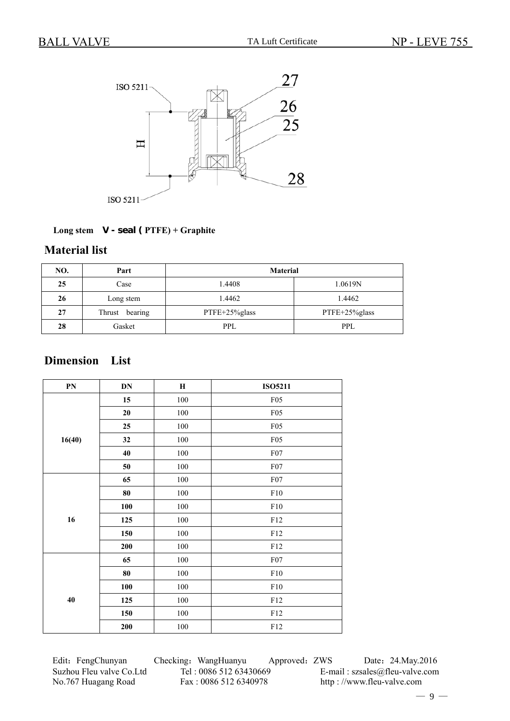

### **Long stem V - seal ( PTFE) + Graphite**

# **Material list**

| NO. | Part              | <b>Material</b> |               |  |  |  |
|-----|-------------------|-----------------|---------------|--|--|--|
| 25  | Case              | 1.4408          | 1.0619N       |  |  |  |
| 26  | Long stem         | 1.4462          | 1.4462        |  |  |  |
| 27  | Thrust<br>bearing | PTFE+25%glass   | PTFE+25%glass |  |  |  |
| 28  | Gasket            | <b>PPL</b>      | PPL           |  |  |  |

# **Dimension List**

| PN     | $\mathbf{DN}$ | $\bf H$ | <b>ISO5211</b> |
|--------|---------------|---------|----------------|
|        | 15            | 100     | F05            |
|        | $20\,$        | 100     | F05            |
|        | 25            | 100     | F05            |
| 16(40) | 32            | 100     | F05            |
|        | 40            | 100     | ${\rm F07}$    |
|        | 50            | 100     | ${\rm F07}$    |
|        | 65            | $100\,$ | ${\rm F07}$    |
|        | ${\bf 80}$    | 100     | ${\rm F10}$    |
|        | 100           | 100     | ${\rm F10}$    |
| 16     | 125           | 100     | F12            |
|        | 150           | 100     | F12            |
|        | 200           | 100     | ${\rm F}12$    |
|        | 65            | 100     | ${\rm F07}$    |
|        | 80            | 100     | ${\rm F10}$    |
|        | 100           | 100     | ${\rm F10}$    |
| 40     | 125           | $100\,$ | ${\rm F}12$    |
|        | 150           | $100\,$ | F12            |
|        | 200           | $100\,$ | F12            |

Edit: FengChunyan Checking: WangHuanyu Approved: ZWS Date: 24.May.2016 Suzhou Fleu valve Co.Ltd Tel : 0086 512 63430669 E-mail : szsales@fleu-valve.com<br>No.767 Huagang Road Fax : 0086 512 6340978 http : //www.fleu-valve.com

http : //www.fleu-valve.com